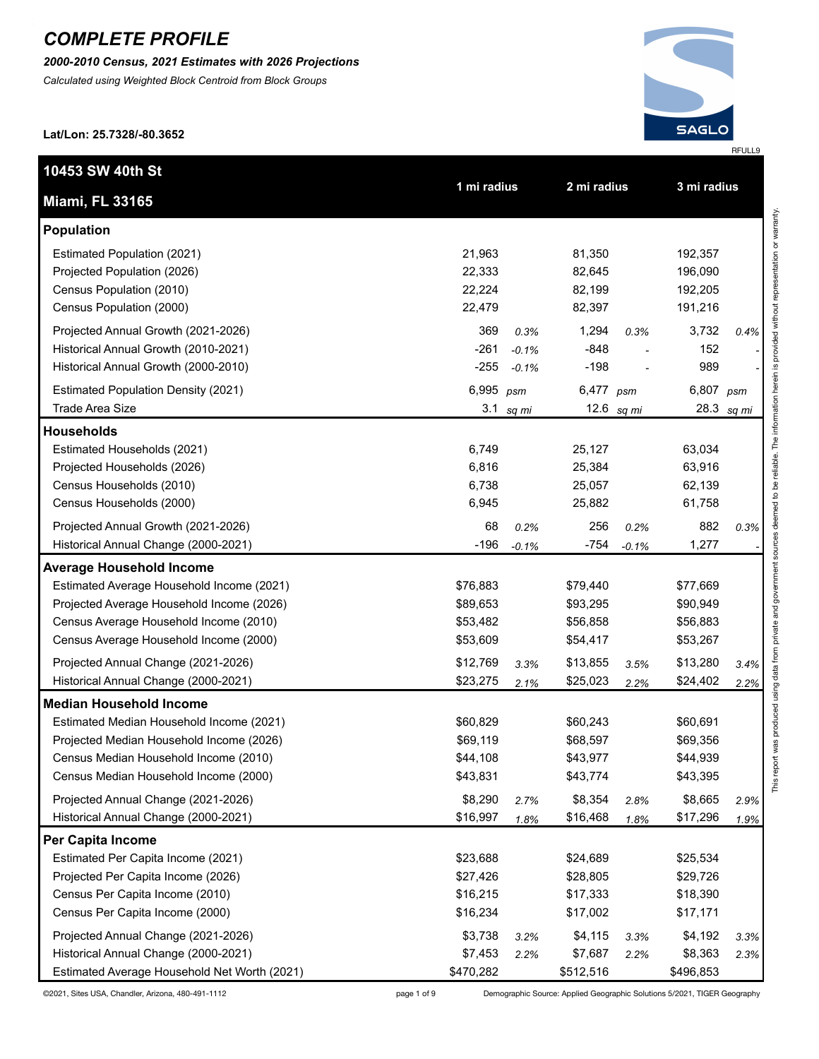*2000-2010 Census, 2021 Estimates with 2026 Projections*

*Calculated using Weighted Block Centroid from Block Groups*



**Lat/Lon: 25.7328/-80.3652**

| 10453 SW 40th St                             | 1 mi radius |         | 2 mi radius |              | 3 mi radius |            |
|----------------------------------------------|-------------|---------|-------------|--------------|-------------|------------|
| <b>Miami, FL 33165</b>                       |             |         |             |              |             |            |
| <b>Population</b>                            |             |         |             |              |             |            |
| Estimated Population (2021)                  | 21,963      |         | 81,350      |              | 192,357     |            |
| Projected Population (2026)                  | 22,333      |         | 82,645      |              | 196,090     |            |
| Census Population (2010)                     | 22,224      |         | 82,199      |              | 192,205     |            |
| Census Population (2000)                     | 22,479      |         | 82,397      |              | 191,216     |            |
| Projected Annual Growth (2021-2026)          | 369         | 0.3%    | 1,294       | 0.3%         | 3,732       | 0.4%       |
| Historical Annual Growth (2010-2021)         | $-261$      | $-0.1%$ | $-848$      |              | 152         |            |
| Historical Annual Growth (2000-2010)         | $-255$      | $-0.1%$ | $-198$      |              | 989         |            |
| <b>Estimated Population Density (2021)</b>   | 6,995       | psm     | 6,477 psm   |              | 6,807 psm   |            |
| <b>Trade Area Size</b>                       | 3.1         | sq mi   |             | 12.6 $sq$ mi |             | 28.3 sq mi |
| <b>Households</b>                            |             |         |             |              |             |            |
| Estimated Households (2021)                  | 6,749       |         | 25,127      |              | 63,034      |            |
| Projected Households (2026)                  | 6,816       |         | 25,384      |              | 63,916      |            |
| Census Households (2010)                     | 6,738       |         | 25,057      |              | 62,139      |            |
| Census Households (2000)                     | 6,945       |         | 25,882      |              | 61,758      |            |
| Projected Annual Growth (2021-2026)          | 68          | 0.2%    | 256         | 0.2%         | 882         | 0.3%       |
| Historical Annual Change (2000-2021)         | $-196$      | $-0.1%$ | $-754$      | $-0.1%$      | 1,277       |            |
| <b>Average Household Income</b>              |             |         |             |              |             |            |
| Estimated Average Household Income (2021)    | \$76,883    |         | \$79,440    |              | \$77,669    |            |
| Projected Average Household Income (2026)    | \$89,653    |         | \$93,295    |              | \$90,949    |            |
| Census Average Household Income (2010)       | \$53,482    |         | \$56,858    |              | \$56,883    |            |
| Census Average Household Income (2000)       | \$53,609    |         | \$54,417    |              | \$53,267    |            |
| Projected Annual Change (2021-2026)          | \$12,769    | 3.3%    | \$13,855    | 3.5%         | \$13,280    | 3.4%       |
| Historical Annual Change (2000-2021)         | \$23,275    | 2.1%    | \$25,023    | 2.2%         | \$24,402    | 2.2%       |
| <b>Median Household Income</b>               |             |         |             |              |             |            |
| Estimated Median Household Income (2021)     | \$60,829    |         | \$60,243    |              | \$60,691    |            |
| Projected Median Household Income (2026)     | \$69,119    |         | \$68,597    |              | \$69,356    |            |
| Census Median Household Income (2010)        | \$44,108    |         | \$43,977    |              | \$44,939    |            |
| Census Median Household Income (2000)        | \$43,831    |         | \$43,774    |              | \$43,395    |            |
| Projected Annual Change (2021-2026)          | \$8,290     | 2.7%    | \$8,354     | 2.8%         | \$8,665     | 2.9%       |
| Historical Annual Change (2000-2021)         | \$16,997    | 1.8%    | \$16,468    | 1.8%         | \$17,296    | 1.9%       |
| <b>Per Capita Income</b>                     |             |         |             |              |             |            |
| Estimated Per Capita Income (2021)           | \$23,688    |         | \$24,689    |              | \$25,534    |            |
| Projected Per Capita Income (2026)           | \$27,426    |         | \$28,805    |              | \$29,726    |            |
| Census Per Capita Income (2010)              | \$16,215    |         | \$17,333    |              | \$18,390    |            |
| Census Per Capita Income (2000)              | \$16,234    |         | \$17,002    |              | \$17,171    |            |
| Projected Annual Change (2021-2026)          | \$3,738     | 3.2%    | \$4,115     | 3.3%         | \$4,192     | 3.3%       |
| Historical Annual Change (2000-2021)         | \$7,453     | 2.2%    | \$7,687     | 2.2%         | \$8,363     | 2.3%       |
| Estimated Average Household Net Worth (2021) | \$470,282   |         | \$512,516   |              | \$496,853   |            |

©2021, Sites USA, Chandler, Arizona, 480-491-1112 page 1 of 9 Demographic Source: Applied Geographic Solutions 5/2021, TIGER Geography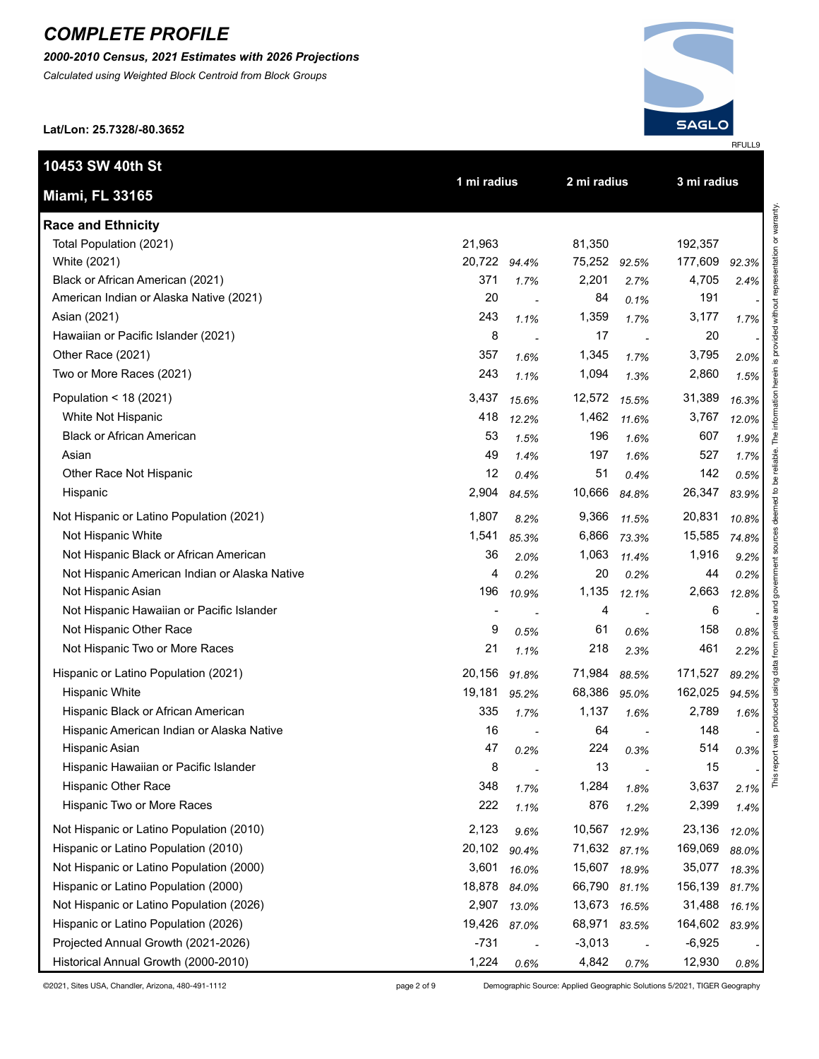*2000-2010 Census, 2021 Estimates with 2026 Projections*

*Calculated using Weighted Block Centroid from Block Groups*

**Lat/Lon: 25.7328/-80.3652**

**10453 SW 40th St**

**Miami, FL 33165**

**Race and Ethnicity** 



**1 mi radius 2 mi radius 3 mi radius**

| 12.3%<br>2.4%<br>1.<br>7% | đ                         |
|---------------------------|---------------------------|
| 2.0%                      |                           |
| 1.5%                      |                           |
| 6.3%                      |                           |
| 2.0%                      |                           |
| 1.9%                      |                           |
| %<br>1. i                 |                           |
| 5%<br>0.                  |                           |
| 33.9%                     |                           |
| 0.8%                      |                           |
| ł<br>4.8%                 |                           |
| 9.2%                      |                           |
| 2%                        | ۲                         |
| 2.8%                      |                           |
|                           | Í                         |
| 0.8%                      |                           |
| $2.2\%$                   |                           |
| $\frac{9}{6}$<br>39.      |                           |
| 14<br>59<br>6             |                           |
| 1.6%                      |                           |
|                           |                           |
| 0.3%                      | ì<br>֦֚֓֓֡֡֓֡֓֡֡֡֡֡֬<br>5 |
|                           |                           |
| 2.<br>1<br>6              | $\frac{2}{10}$            |
| 1.<br>1%                  |                           |
| ٦O.<br>J.                 |                           |

| Total Population (2021)                       | 21,963       |       | 81,350       |       | 192,357  |       |
|-----------------------------------------------|--------------|-------|--------------|-------|----------|-------|
| White (2021)                                  | 20,722 94.4% |       | 75,252 92.5% |       | 177,609  | 92.3% |
| Black or African American (2021)              | 371          | 1.7%  | 2,201        | 2.7%  | 4,705    | 2.4%  |
| American Indian or Alaska Native (2021)       | 20           |       | 84           | 0.1%  | 191      |       |
| Asian (2021)                                  | 243          | 1.1%  | 1,359        | 1.7%  | 3,177    | 1.7%  |
| Hawaiian or Pacific Islander (2021)           | 8            |       | 17           |       | 20       |       |
| Other Race (2021)                             | 357          | 1.6%  | 1,345        | 1.7%  | 3,795    | 2.0%  |
| Two or More Races (2021)                      | 243          | 1.1%  | 1,094        | 1.3%  | 2,860    | 1.5%  |
| Population < 18 (2021)                        | 3,437        | 15.6% | 12,572       | 15.5% | 31,389   | 16.3% |
| White Not Hispanic                            | 418          | 12.2% | 1,462        | 11.6% | 3,767    | 12.0% |
| <b>Black or African American</b>              | 53           | 1.5%  | 196          | 1.6%  | 607      | 1.9%  |
| Asian                                         | 49           | 1.4%  | 197          | 1.6%  | 527      | 1.7%  |
| Other Race Not Hispanic                       | 12           | 0.4%  | 51           | 0.4%  | 142      | 0.5%  |
| Hispanic                                      | 2,904        | 84.5% | 10,666       | 84.8% | 26,347   | 83.9% |
| Not Hispanic or Latino Population (2021)      | 1,807        | 8.2%  | 9,366        | 11.5% | 20,831   | 10.8% |
| Not Hispanic White                            | 1,541        | 85.3% | 6,866        | 73.3% | 15,585   | 74.8% |
| Not Hispanic Black or African American        | 36           | 2.0%  | 1,063        | 11.4% | 1,916    | 9.2%  |
| Not Hispanic American Indian or Alaska Native | 4            | 0.2%  | 20           | 0.2%  | 44       | 0.2%  |
| Not Hispanic Asian                            | 196          | 10.9% | 1,135        | 12.1% | 2,663    | 12.8% |
| Not Hispanic Hawaiian or Pacific Islander     |              |       | 4            |       | 6        |       |
| Not Hispanic Other Race                       | 9            | 0.5%  | 61           | 0.6%  | 158      | 0.8%  |
| Not Hispanic Two or More Races                | 21           | 1.1%  | 218          | 2.3%  | 461      | 2.2%  |
| Hispanic or Latino Population (2021)          | 20,156       | 91.8% | 71,984       | 88.5% | 171,527  | 89.2% |
| <b>Hispanic White</b>                         | 19,181       | 95.2% | 68,386       | 95.0% | 162,025  | 94.5% |
| Hispanic Black or African American            | 335          | 1.7%  | 1,137        | 1.6%  | 2,789    | 1.6%  |
| Hispanic American Indian or Alaska Native     | 16           |       | 64           |       | 148      |       |
| Hispanic Asian                                | 47           | 0.2%  | 224          | 0.3%  | 514      | 0.3%  |
| Hispanic Hawaiian or Pacific Islander         | 8            |       | 13           |       | 15       |       |
| Hispanic Other Race                           | 348          | 1.7%  | 1,284        | 1.8%  | 3,637    | 2.1%  |
| Hispanic Two or More Races                    | 222          | 1.1%  | 876          | 1.2%  | 2,399    | 1.4%  |
| Not Hispanic or Latino Population (2010)      | 2,123        | 9.6%  | 10,567       | 12.9% | 23,136   | 12.0% |
| Hispanic or Latino Population (2010)          | 20,102       | 90.4% | 71,632 87.1% |       | 169,069  | 88.0% |
| Not Hispanic or Latino Population (2000)      | 3,601        | 16.0% | 15,607       | 18.9% | 35,077   | 18.3% |
| Hispanic or Latino Population (2000)          | 18,878       | 84.0% | 66,790       | 81.1% | 156,139  | 81.7% |
| Not Hispanic or Latino Population (2026)      | 2,907        | 13.0% | 13,673       | 16.5% | 31,488   | 16.1% |
| Hispanic or Latino Population (2026)          | 19,426       | 87.0% | 68,971       | 83.5% | 164,602  | 83.9% |
| Projected Annual Growth (2021-2026)           | $-731$       |       | $-3,013$     |       | $-6,925$ |       |

Historical Annual Growth (2000-2010) - *-* 1,224 *0.6%* 4,842 *0.7%* 12,930 *0.8%*

©2021, Sites USA, Chandler, Arizona, 480-491-1112 page 2 of 9 Demographic Source: Applied Geographic Solutions 5/2021, TIGER Geography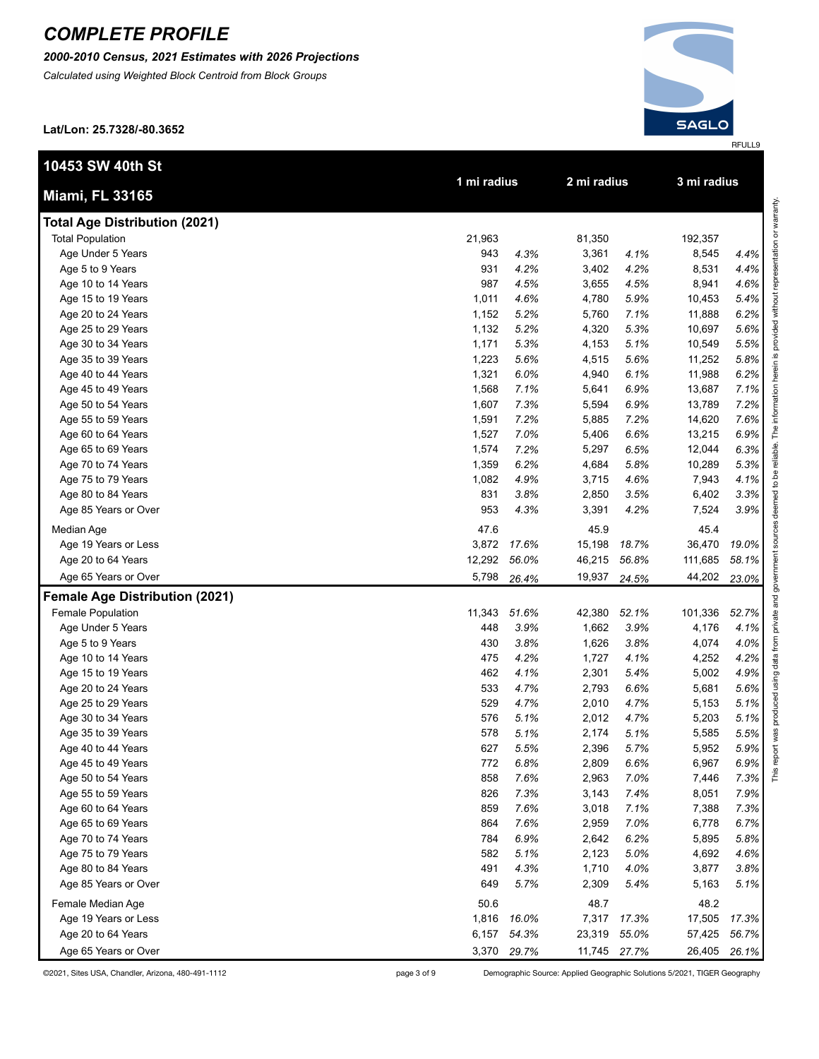*2000-2010 Census, 2021 Estimates with 2026 Projections*

*Calculated using Weighted Block Centroid from Block Groups*

**Lat/Lon: 25.7328/-80.3652**

**Total Age Distribution (2021)**

**10453 SW 40th St**

**Miami, FL 33165**



**1 mi radius 2 mi radius 3 mi radius**

|         |       | Marranty               |
|---------|-------|------------------------|
| 192,357 |       |                        |
| 8,545   | 4.4%  |                        |
| 8,531   | 4.4%  | ranracanta:            |
| 8,941   | 4.6%  |                        |
| 10,453  | 5.4%  |                        |
| 11,888  | 6.2%  |                        |
| 10,697  | 5.6%  |                        |
| 10,549  | 5.5%  |                        |
| 11,252  | 5.8%  |                        |
| 11,988  | 6.2%  |                        |
| 13,687  | 7.1%  |                        |
| 13,789  | 7.2%  |                        |
| 14,620  | 7.6%  |                        |
| 13,215  | 6.9%  | raliahla Tha           |
| 12,044  | 6.3%  |                        |
| 10,289  | 5.3%  |                        |
| 7,943   | 4.1%  |                        |
| 6,402   | 3.3%  |                        |
| 7,524   | 3.9%  | deemed to he           |
| 45.4    |       | courros.               |
| 36,470  | 19.0% |                        |
| 111,685 | 58.1% |                        |
| 44,202  | 23.0% |                        |
|         |       |                        |
| 101,336 | 52.7% | private and government |
| 4,176   | 4.1%  |                        |
| 4,074   | 4.0%  |                        |
| 4,252   | 4.2%  |                        |
| 5,002   | 4.9%  | using data from        |
| 5,681   | 5.6%  |                        |
| 5,153   | 5.1%  |                        |
| 5,203   | 5.1%  | produced               |
| 5,585   | 5.5%  |                        |
| 5,952   | 5.9%  |                        |
| 6,967   | 6.9%  |                        |
| 7,446   | 7.3%  |                        |
| 8,051   | 7.9%  |                        |
| 7,388   | 7.3%  |                        |
| 6,778   | 6.7%  |                        |
| 5,895   | 5.8%  |                        |
| 4,692   | 4.6%  |                        |
| 3,877   | 3.8%  |                        |
|         |       |                        |

| Age Under 5 Years                     | 943    | 4.3%  | 3,361  | 4.1%  | 8,545   | 4.4%  |
|---------------------------------------|--------|-------|--------|-------|---------|-------|
| Age 5 to 9 Years                      | 931    | 4.2%  | 3,402  | 4.2%  | 8,531   | 4.4%  |
| Age 10 to 14 Years                    | 987    | 4.5%  | 3,655  | 4.5%  | 8,941   | 4.6%  |
| Age 15 to 19 Years                    | 1,011  | 4.6%  | 4,780  | 5.9%  | 10,453  | 5.4%  |
| Age 20 to 24 Years                    | 1,152  | 5.2%  | 5,760  | 7.1%  | 11,888  | 6.2%  |
| Age 25 to 29 Years                    | 1,132  | 5.2%  | 4,320  | 5.3%  | 10,697  | 5.6%  |
| Age 30 to 34 Years                    | 1,171  | 5.3%  | 4,153  | 5.1%  | 10,549  | 5.5%  |
| Age 35 to 39 Years                    | 1,223  | 5.6%  | 4,515  | 5.6%  | 11,252  | 5.8%  |
| Age 40 to 44 Years                    | 1,321  | 6.0%  | 4,940  | 6.1%  | 11,988  | 6.2%  |
| Age 45 to 49 Years                    | 1,568  | 7.1%  | 5,641  | 6.9%  | 13,687  | 7.1%  |
| Age 50 to 54 Years                    | 1,607  | 7.3%  | 5,594  | 6.9%  | 13,789  | 7.2%  |
| Age 55 to 59 Years                    | 1,591  | 7.2%  | 5,885  | 7.2%  | 14,620  | 7.6%  |
| Age 60 to 64 Years                    | 1,527  | 7.0%  | 5,406  | 6.6%  | 13,215  | 6.9%  |
| Age 65 to 69 Years                    | 1,574  | 7.2%  | 5,297  | 6.5%  | 12,044  | 6.3%  |
| Age 70 to 74 Years                    | 1,359  | 6.2%  | 4,684  | 5.8%  | 10,289  | 5.3%  |
| Age 75 to 79 Years                    | 1,082  | 4.9%  | 3,715  | 4.6%  | 7,943   | 4.1%  |
| Age 80 to 84 Years                    | 831    | 3.8%  | 2,850  | 3.5%  | 6,402   | 3.3%  |
| Age 85 Years or Over                  | 953    | 4.3%  | 3,391  | 4.2%  | 7,524   | 3.9%  |
| Median Age                            | 47.6   |       | 45.9   |       | 45.4    |       |
| Age 19 Years or Less                  | 3,872  | 17.6% | 15,198 | 18.7% | 36,470  | 19.0% |
| Age 20 to 64 Years                    | 12,292 | 56.0% | 46,215 | 56.8% | 111,685 | 58.1% |
| Age 65 Years or Over                  | 5,798  | 26.4% | 19,937 | 24.5% | 44,202  | 23.0% |
| <b>Female Age Distribution (2021)</b> |        |       |        |       |         |       |
| Female Population                     | 11,343 | 51.6% | 42,380 | 52.1% | 101,336 | 52.7% |
| Age Under 5 Years                     | 448    | 3.9%  | 1,662  | 3.9%  | 4,176   | 4.1%  |
| Age 5 to 9 Years                      | 430    | 3.8%  | 1,626  | 3.8%  | 4,074   | 4.0%  |
| Age 10 to 14 Years                    | 475    | 4.2%  | 1,727  | 4.1%  | 4,252   | 4.2%  |
| Age 15 to 19 Years                    | 462    | 4.1%  | 2,301  | 5.4%  | 5,002   | 4.9%  |
| Age 20 to 24 Years                    | 533    | 4.7%  | 2,793  | 6.6%  | 5,681   | 5.6%  |
| Age 25 to 29 Years                    | 529    | 4.7%  | 2,010  | 4.7%  | 5,153   | 5.1%  |
| Age 30 to 34 Years                    | 576    | 5.1%  | 2,012  | 4.7%  | 5,203   | 5.1%  |
| Age 35 to 39 Years                    | 578    | 5.1%  | 2,174  | 5.1%  | 5,585   | 5.5%  |
| Age 40 to 44 Years                    | 627    | 5.5%  | 2,396  | 5.7%  | 5,952   | 5.9%  |
| Age 45 to 49 Years                    | 772    | 6.8%  | 2,809  | 6.6%  | 6,967   | 6.9%  |
| Age 50 to 54 Years                    | 858    | 7.6%  | 2,963  | 7.0%  | 7,446   | 7.3%  |
| Age 55 to 59 Years                    | 826    | 7.3%  | 3,143  | 7.4%  | 8,051   | 7.9%  |
| Age 60 to 64 Years                    | 859    | 7.6%  | 3,018  | 7.1%  | 7,388   | 7.3%  |
| Age 65 to 69 Years                    | 864    | 7.6%  | 2,959  | 7.0%  | 6,778   | 6.7%  |
| Age 70 to 74 Years                    | 784    | 6.9%  | 2,642  | 6.2%  | 5,895   | 5.8%  |
| Age 75 to 79 Years                    | 582    | 5.1%  | 2,123  | 5.0%  | 4,692   | 4.6%  |

Total Population 81,350 192, 1963 81,350 192,350 192,357 81,350 192,357 81,350 192,357 81,350 192,357 81,357 81,357 81,357 81,357 81,357 81,357 81,357 81,357 81,357 81,357 81,357 81,357 81,357 81,357 81,357 81,357 81,357 8

Age 80 to 84 Years **2006** 2007 **4.0%** 2007 **4.0%** 2007 **4.0%** 3,710 3,710 3,877 **4.0%**  Age 85 Years or Over 0 T *-* 649 *5.7%* 2,309 *5.4%* 5,163 *5.1%* Female Median Age 0 2012 12:3 48.2 48.2 48.2 48.7 48.2 Age 19 Years or Less - *-* 1,816 *16.0%* 7,317 *17.3%* 17,505 *17.3%* Age 20 to 64 Years - *-* 6,157 *54.3%* 23,319 *55.0%* 57,425 *56.7%* Age 65 Years or Over **-** *-* 3,370 **29.7%** 11,745 **27.7%** 26,405 **26.1%** 

©2021, Sites USA, Chandler, Arizona, 480-491-1112 page 3 of 9 Demographic Source: Applied Geographic Solutions 5/2021, TIGER Geography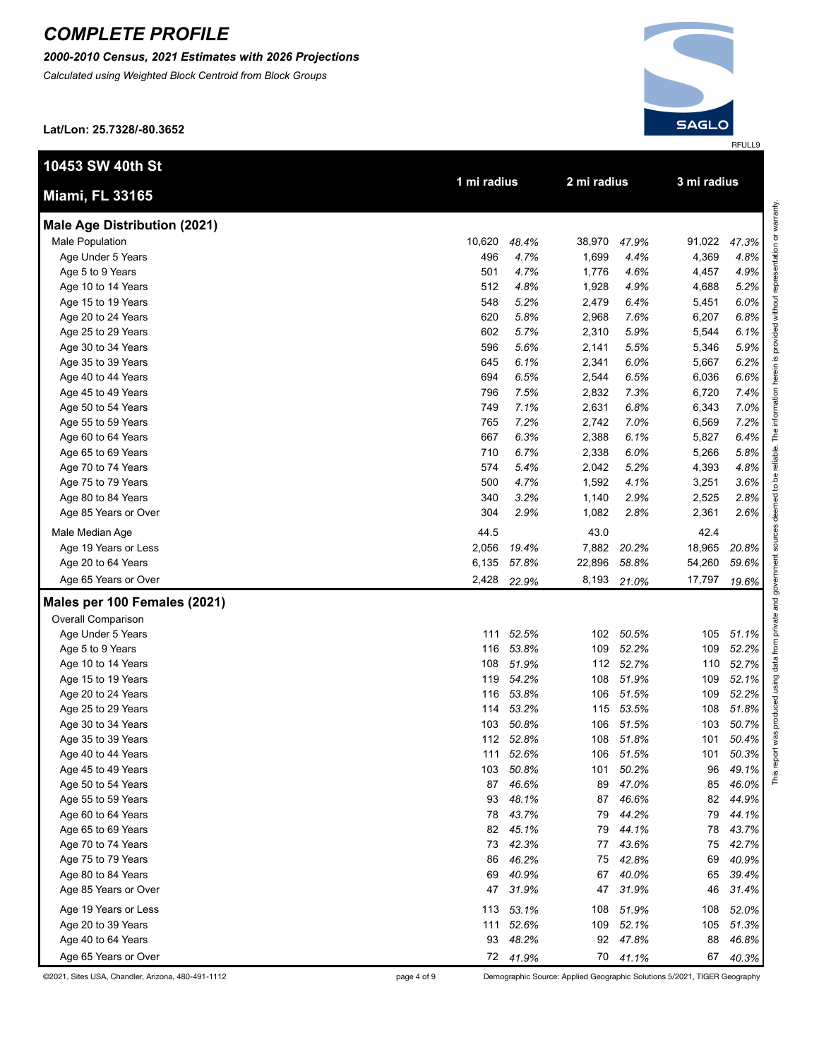*2000-2010 Census, 2021 Estimates with 2026 Projections*

*Calculated using Weighted Block Centroid from Block Groups*

**Lat/Lon: 25.7328/-80.3652**

**10453 SW** 



| 47.3%<br>4.8%<br>4.9%<br>5.2%<br>6.0%<br>6.8%<br>6.1%<br>5.9%<br>6.2%<br>6.6%<br>7.4%<br>7.0%<br>7.2%<br>6.4%<br>5.8%<br>4.8%<br>.6%<br>2.8%<br>2.6% |   |
|------------------------------------------------------------------------------------------------------------------------------------------------------|---|
| 20.8%<br>59.6%<br>19.6%                                                                                                                              | ī |
| 51.1%<br>52.2%<br>52.7%<br>52.1%<br>2.2%<br>51.8%<br>50.7%<br>50.4%<br>50.3%<br>49.1%<br>46.0%<br>4.9%<br>4.1%<br>43.7%<br>42.7%                     |   |

| 10453 SW 40th St                    |             |       |             |       |             |       |  |  |
|-------------------------------------|-------------|-------|-------------|-------|-------------|-------|--|--|
| Miami, FL 33165                     | 1 mi radius |       | 2 mi radius |       | 3 mi radius |       |  |  |
| <b>Male Age Distribution (2021)</b> |             |       |             |       |             |       |  |  |
| Male Population                     | 10,620      | 48.4% | 38,970      | 47.9% | 91,022      | 47.3% |  |  |
| Age Under 5 Years                   | 496         | 4.7%  | 1,699       | 4.4%  | 4,369       | 4.8%  |  |  |
| Age 5 to 9 Years                    | 501         | 4.7%  | 1,776       | 4.6%  | 4,457       | 4.9%  |  |  |
| Age 10 to 14 Years                  | 512         | 4.8%  | 1,928       | 4.9%  | 4,688       | 5.2%  |  |  |
| Age 15 to 19 Years                  | 548         | 5.2%  | 2,479       | 6.4%  | 5,451       | 6.0%  |  |  |
| Age 20 to 24 Years                  | 620         | 5.8%  | 2,968       | 7.6%  | 6,207       | 6.8%  |  |  |
| Age 25 to 29 Years                  | 602         | 5.7%  | 2,310       | 5.9%  | 5,544       | 6.1%  |  |  |
| Age 30 to 34 Years                  | 596         | 5.6%  | 2,141       | 5.5%  | 5,346       | 5.9%  |  |  |
| Age 35 to 39 Years                  | 645         | 6.1%  | 2,341       | 6.0%  | 5,667       | 6.2%  |  |  |
| Age 40 to 44 Years                  | 694         | 6.5%  | 2,544       | 6.5%  | 6,036       | 6.6%  |  |  |
| Age 45 to 49 Years                  | 796         | 7.5%  | 2,832       | 7.3%  | 6,720       | 7.4%  |  |  |
| Age 50 to 54 Years                  | 749         | 7.1%  | 2,631       | 6.8%  | 6,343       | 7.0%  |  |  |
| Age 55 to 59 Years                  | 765         | 7.2%  | 2,742       | 7.0%  | 6,569       | 7.2%  |  |  |
| Age 60 to 64 Years                  | 667         | 6.3%  | 2,388       | 6.1%  | 5,827       | 6.4%  |  |  |
| Age 65 to 69 Years                  | 710         | 6.7%  | 2,338       | 6.0%  | 5,266       | 5.8%  |  |  |
| Age 70 to 74 Years                  | 574         | 5.4%  | 2,042       | 5.2%  | 4,393       | 4.8%  |  |  |

 Age 75 to 79 Years - *-* 500 *4.7%* 1,592 *4.1%* 3,251 *3.6%* Age 80 to 84 Years - *-* 340 *3.2%* 1,140 *2.9%* 2,525 *2.8%* Age 85 Years or Over - *-* 304 *2.9%* 1,082 *2.8%* 2,361 *2.6%* Male Median Age 2.4 and 2.4 and 2.4 and 2.4 and 2.4 and 2.4 and 2.4 and 2.4 and 2.4 and 2.4 and 2.4 and 2.4 and 2.4 and 2.4 and 2.4 and 2.4 and 2.4 and 2.4 and 2.4 and 2.4 and 2.4 and 2.4 and 2.4 and 2.4 and 2.4 and 2.4 an Age 19 Years or Less - *-* 2,056 *19.4%* 7,882 *20.2%* 18,965 *20.8%* Age 20 to 64 Years - *-* 6,135 *57.8%* 22,896 *58.8%* 54,260 *59.6%* Age 65 Years or Over - *-* 2,428 *22.9%* 8,193 *21.0%* 17,797 *19.6%*

#### **Males per 100 Females (2021)**

| Overall Comparison   |     |       |     |       |     |       |
|----------------------|-----|-------|-----|-------|-----|-------|
| Age Under 5 Years    | 111 | 52.5% | 102 | 50.5% | 105 | 51.1% |
| Age 5 to 9 Years     | 116 | 53.8% | 109 | 52.2% | 109 | 52.2% |
| Age 10 to 14 Years   | 108 | 51.9% | 112 | 52.7% | 110 | 52.7% |
| Age 15 to 19 Years   | 119 | 54.2% | 108 | 51.9% | 109 | 52.1% |
| Age 20 to 24 Years   | 116 | 53.8% | 106 | 51.5% | 109 | 52.2% |
| Age 25 to 29 Years   | 114 | 53.2% | 115 | 53.5% | 108 | 51.8% |
| Age 30 to 34 Years   | 103 | 50.8% | 106 | 51.5% | 103 | 50.7% |
| Age 35 to 39 Years   | 112 | 52.8% | 108 | 51.8% | 101 | 50.4% |
| Age 40 to 44 Years   | 111 | 52.6% | 106 | 51.5% | 101 | 50.3% |
| Age 45 to 49 Years   | 103 | 50.8% | 101 | 50.2% | 96  | 49.1% |
| Age 50 to 54 Years   | 87  | 46.6% | 89  | 47.0% | 85  | 46.0% |
| Age 55 to 59 Years   | 93  | 48.1% | 87  | 46.6% | 82  | 44.9% |
| Age 60 to 64 Years   | 78  | 43.7% | 79  | 44.2% | 79  | 44.1% |
| Age 65 to 69 Years   | 82  | 45.1% | 79  | 44.1% | 78  | 43.7% |
| Age 70 to 74 Years   | 73  | 42.3% | 77  | 43.6% | 75  | 42.7% |
| Age 75 to 79 Years   | 86  | 46.2% | 75  | 42.8% | 69  | 40.9% |
| Age 80 to 84 Years   | 69  | 40.9% | 67  | 40.0% | 65  | 39.4% |
| Age 85 Years or Over | 47  | 31.9% | 47  | 31.9% | 46  | 31.4% |
| Age 19 Years or Less | 113 | 53.1% | 108 | 51.9% | 108 | 52.0% |
| Age 20 to 39 Years   | 111 | 52.6% | 109 | 52.1% | 105 | 51.3% |
| Age 40 to 64 Years   | 93  | 48.2% | 92  | 47.8% | 88  | 46.8% |
| Age 65 Years or Over | 72  | 41.9% | 70  | 41.1% | 67  | 40.3% |

©2021, Sites USA, Chandler, Arizona, 480-491-1112 page 4 of 9 Demographic Source: Applied Geographic Solutions 5/2021, TIGER Geography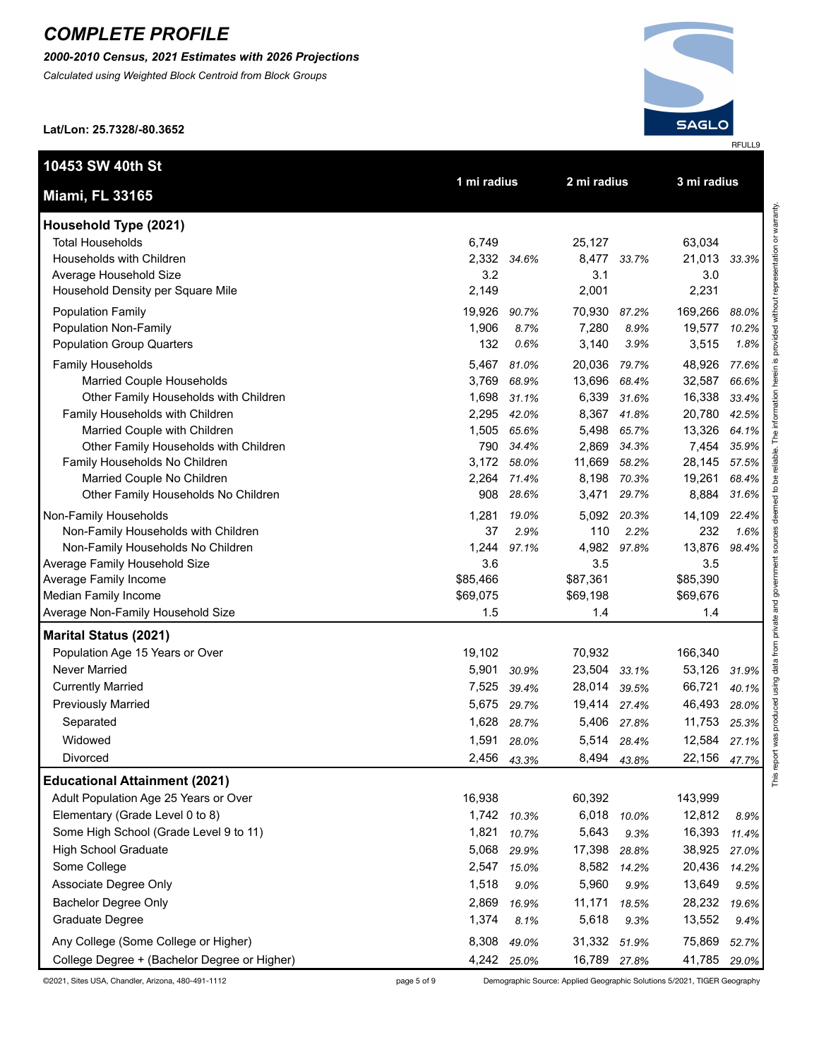*2000-2010 Census, 2021 Estimates with 2026 Projections*

*Calculated using Weighted Block Centroid from Block Groups*

**Lat/Lon: 25.7328/-80.3652**

**10453 SW 40th St**



| j                        |
|--------------------------|
| $\overline{\phantom{a}}$ |
|                          |
| š<br>ì                   |
|                          |
|                          |
| į                        |
|                          |
| ĵ                        |
| i                        |
| Ī                        |
| ׇ֚֚֬                     |
| Ï<br>١                   |
| l                        |
|                          |
| l                        |
| į                        |
| l                        |
| š                        |
|                          |
|                          |
|                          |
|                          |
|                          |
| l<br>l                   |
| ń                        |
| ļ                        |
|                          |
| y                        |
|                          |
|                          |
| í<br>١                   |
| ֚֕֕֡֡<br>Ē               |
|                          |
| .<br>.<br>.              |
| l<br>ׇ֚֬֡                |
|                          |
|                          |
| 1                        |
| ĺ<br>l                   |
|                          |
|                          |
| l                        |
|                          |
| $\frac{1}{2}$            |
| g                        |
|                          |
|                          |
| ī                        |
| i<br>j<br>١              |
| $\frac{1}{2}$            |
|                          |
|                          |
|                          |
| Ş<br>ĺ                   |
|                          |
|                          |
|                          |
|                          |
| i                        |
| Ï                        |
| ì                        |
| ļ<br>i                   |
|                          |
|                          |
| į<br>۱                   |
|                          |
|                          |
| ĺ                        |
| l<br>ı                   |
| Ì                        |
| $\overline{a}$           |
| 1                        |
| ۰<br>έ                   |
|                          |
|                          |
|                          |
|                          |
|                          |
|                          |
|                          |
| ļ                        |
|                          |
|                          |
| ׇ֚֘֝֕<br>ì               |
| ¢                        |
|                          |
| ī                        |
|                          |
| č                        |
| í<br>å<br>ì              |
| š                        |
|                          |
| ļ<br>í                   |
| $\overline{a}$           |
| ī<br>ļ                   |
| j                        |
| "<br>≡                   |

| <b>Miami, FL 33165</b>                       |          | 1 mi radius |              | 2 mi radius |          | 3 mi radius |  |
|----------------------------------------------|----------|-------------|--------------|-------------|----------|-------------|--|
| Household Type (2021)                        |          |             |              |             |          |             |  |
| <b>Total Households</b>                      | 6,749    |             | 25,127       |             | 63,034   |             |  |
| Households with Children                     |          | 2,332 34.6% | 8,477        | 33.7%       | 21,013   | 33.3%       |  |
| Average Household Size                       | 3.2      |             | 3.1          |             | 3.0      |             |  |
| Household Density per Square Mile            | 2,149    |             | 2,001        |             | 2,231    |             |  |
|                                              |          |             |              |             |          |             |  |
| <b>Population Family</b>                     | 19,926   | 90.7%       | 70,930       | 87.2%       | 169,266  | 88.0%       |  |
| Population Non-Family                        | 1,906    | 8.7%        | 7,280        | 8.9%        | 19,577   | 10.2%       |  |
| <b>Population Group Quarters</b>             | 132      | 0.6%        | 3,140        | 3.9%        | 3,515    | 1.8%        |  |
| Family Households                            | 5,467    | 81.0%       | 20,036       | 79.7%       | 48,926   | 77.6%       |  |
| Married Couple Households                    | 3,769    | 68.9%       | 13,696       | 68.4%       | 32,587   | 66.6%       |  |
| Other Family Households with Children        | 1,698    | 31.1%       | 6,339        | 31.6%       | 16,338   | 33.4%       |  |
| Family Households with Children              | 2,295    | 42.0%       | 8,367        | 41.8%       | 20,780   | 42.5%       |  |
| Married Couple with Children                 | 1,505    | 65.6%       | 5,498        | 65.7%       | 13,326   | 64.1%       |  |
| Other Family Households with Children        | 790      | 34.4%       | 2,869        | 34.3%       | 7,454    | 35.9%       |  |
| Family Households No Children                | 3,172    | 58.0%       | 11,669       | 58.2%       | 28,145   | 57.5%       |  |
| Married Couple No Children                   | 2,264    | 71.4%       | 8,198        | 70.3%       | 19,261   | 68.4%       |  |
| Other Family Households No Children          | 908      | 28.6%       | 3,471        | 29.7%       | 8,884    | 31.6%       |  |
| Non-Family Households                        | 1,281    | 19.0%       | 5,092        | 20.3%       | 14,109   | 22.4%       |  |
| Non-Family Households with Children          | 37       | 2.9%        | 110          | 2.2%        | 232      | 1.6%        |  |
| Non-Family Households No Children            | 1,244    | 97.1%       | 4,982        | 97.8%       | 13,876   | 98.4%       |  |
| Average Family Household Size                | 3.6      |             | 3.5          |             | 3.5      |             |  |
| Average Family Income                        | \$85,466 |             | \$87,361     |             | \$85,390 |             |  |
| Median Family Income                         | \$69,075 |             | \$69,198     |             | \$69,676 |             |  |
| Average Non-Family Household Size            | 1.5      |             | 1.4          |             | 1.4      |             |  |
| <b>Marital Status (2021)</b>                 |          |             |              |             |          |             |  |
| Population Age 15 Years or Over              | 19,102   |             | 70,932       |             | 166,340  |             |  |
| <b>Never Married</b>                         | 5,901    | 30.9%       | 23,504       | 33.1%       | 53,126   | 31.9%       |  |
| <b>Currently Married</b>                     | 7,525    | 39.4%       | 28,014       | 39.5%       | 66,721   | 40.1%       |  |
| <b>Previously Married</b>                    | 5,675    | 29.7%       | 19,414       | 27.4%       | 46,493   | 28.0%       |  |
| Separated                                    | 1,628    | 28.7%       | 5,406        | 27.8%       | 11,753   | 25.3%       |  |
| Widowed                                      | 1,591    | 28.0%       | 5,514        | 28.4%       | 12,584   | 27.1%       |  |
| Divorced                                     | 2,456    | 43.3%       | 8,494        | 43.8%       | 22,156   | 47.7%       |  |
| <b>Educational Attainment (2021)</b>         |          |             |              |             |          |             |  |
| Adult Population Age 25 Years or Over        | 16,938   |             | 60,392       |             | 143,999  |             |  |
| Elementary (Grade Level 0 to 8)              | 1,742    | 10.3%       | 6,018        | 10.0%       | 12,812   | 8.9%        |  |
| Some High School (Grade Level 9 to 11)       | 1,821    | 10.7%       | 5,643        | 9.3%        | 16,393   | 11.4%       |  |
| <b>High School Graduate</b>                  | 5,068    | 29.9%       | 17,398       | 28.8%       | 38,925   | 27.0%       |  |
| Some College                                 | 2,547    | 15.0%       | 8,582        | 14.2%       | 20,436   | 14.2%       |  |
| Associate Degree Only                        | 1,518    | 9.0%        | 5,960        | 9.9%        | 13,649   |             |  |
|                                              |          |             |              |             |          | 9.5%        |  |
| <b>Bachelor Degree Only</b>                  | 2,869    | 16.9%       | 11,171       | 18.5%       | 28,232   | 19.6%       |  |
| Graduate Degree                              | 1,374    | 8.1%        | 5,618        | 9.3%        | 13,552   | 9.4%        |  |
| Any College (Some College or Higher)         | 8,308    | 49.0%       | 31,332       | 51.9%       | 75,869   | 52.7%       |  |
| College Degree + (Bachelor Degree or Higher) | 4,242    | 25.0%       | 16,789 27.8% |             | 41,785   | 29.0%       |  |

©2021, Sites USA, Chandler, Arizona, 480-491-1112 page 5 of 9 Demographic Source: Applied Geographic Solutions 5/2021, TIGER Geography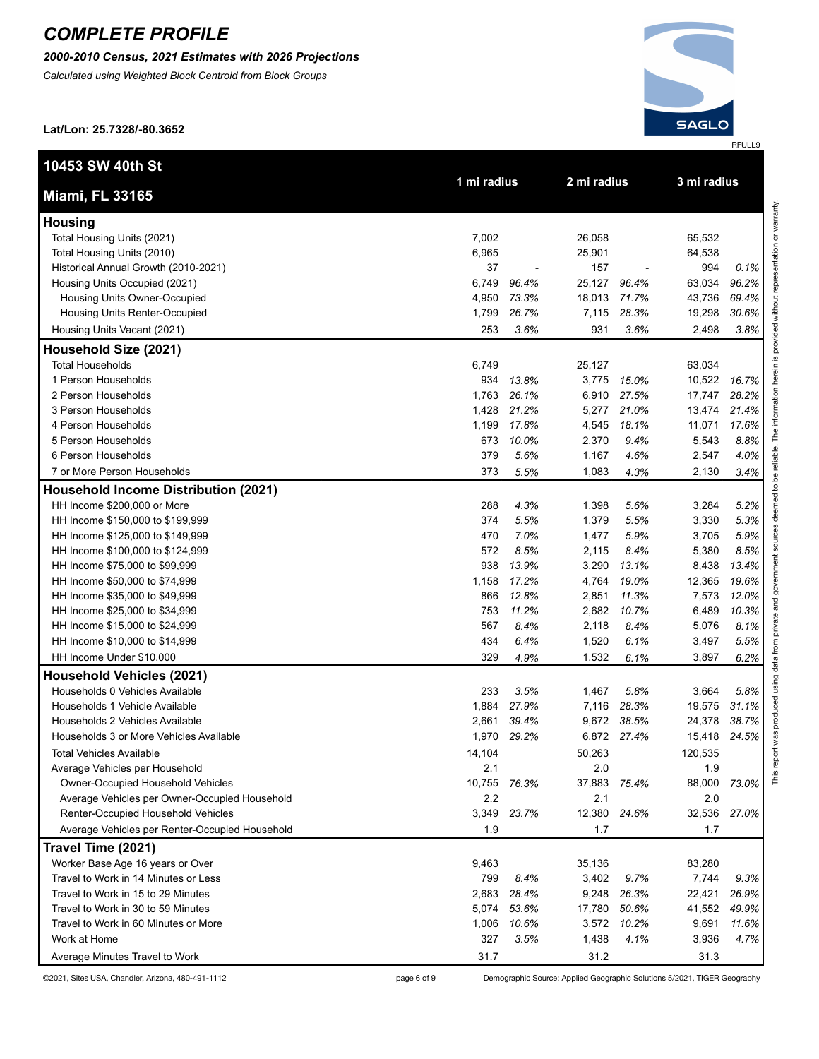*2000-2010 Census, 2021 Estimates with 2026 Projections*

*Calculated using Weighted Block Centroid from Block Groups*



**Lat/Lon: 25.7328/-80.3652**

| 10453 SW 40th St                               | 1 mi radius |             | 2 mi radius |                          |             |       |  |
|------------------------------------------------|-------------|-------------|-------------|--------------------------|-------------|-------|--|
| <b>Miami, FL 33165</b>                         |             |             |             |                          | 3 mi radius |       |  |
| <b>Housing</b>                                 |             |             |             |                          |             |       |  |
| Total Housing Units (2021)                     | 7,002       |             | 26,058      |                          | 65,532      |       |  |
| Total Housing Units (2010)                     | 6,965       |             | 25,901      |                          | 64,538      |       |  |
| Historical Annual Growth (2010-2021)           | 37          | ٠           | 157         | $\overline{\phantom{a}}$ | 994         | 0.1%  |  |
| Housing Units Occupied (2021)                  | 6,749       | 96.4%       | 25,127      | 96.4%                    | 63,034      | 96.2% |  |
| Housing Units Owner-Occupied                   | 4,950       | 73.3%       | 18,013      | 71.7%                    | 43,736      | 69.4% |  |
| Housing Units Renter-Occupied                  | 1,799       | 26.7%       | 7,115       | 28.3%                    | 19,298      | 30.6% |  |
| Housing Units Vacant (2021)                    | 253         | 3.6%        | 931         | 3.6%                     | 2,498       | 3.8%  |  |
| Household Size (2021)                          |             |             |             |                          |             |       |  |
| <b>Total Households</b>                        | 6,749       |             | 25,127      |                          | 63,034      |       |  |
| 1 Person Households                            | 934         | 13.8%       | 3,775       | 15.0%                    | 10,522      | 16.7% |  |
| 2 Person Households                            | 1,763       | 26.1%       | 6,910       | 27.5%                    | 17,747      | 28.2% |  |
| 3 Person Households                            | 1,428       | 21.2%       | 5,277       | 21.0%                    | 13,474      | 21.4% |  |
| 4 Person Households                            | 1,199       | 17.8%       | 4,545       | 18.1%                    | 11,071      | 17.6% |  |
| 5 Person Households                            | 673         | 10.0%       | 2,370       | 9.4%                     | 5,543       | 8.8%  |  |
| 6 Person Households                            | 379         | 5.6%        | 1,167       | 4.6%                     | 2,547       | 4.0%  |  |
| 7 or More Person Households                    | 373         | 5.5%        | 1,083       | 4.3%                     | 2,130       | 3.4%  |  |
| <b>Household Income Distribution (2021)</b>    |             |             |             |                          |             |       |  |
| HH Income \$200,000 or More                    | 288         | 4.3%        | 1,398       | 5.6%                     | 3,284       | 5.2%  |  |
| HH Income \$150,000 to \$199,999               | 374         | 5.5%        | 1,379       | 5.5%                     | 3,330       | 5.3%  |  |
| HH Income \$125,000 to \$149,999               | 470         | 7.0%        | 1,477       | 5.9%                     | 3,705       | 5.9%  |  |
| HH Income \$100,000 to \$124,999               | 572         | 8.5%        | 2,115       | 8.4%                     | 5,380       | 8.5%  |  |
| HH Income \$75,000 to \$99,999                 | 938         | 13.9%       | 3,290       | 13.1%                    | 8,438       | 13.4% |  |
| HH Income \$50,000 to \$74,999                 | 1,158       | 17.2%       | 4,764       | 19.0%                    | 12,365      | 19.6% |  |
| HH Income \$35,000 to \$49,999                 | 866         | 12.8%       | 2,851       | 11.3%                    | 7,573       | 12.0% |  |
| HH Income \$25,000 to \$34,999                 | 753         | 11.2%       | 2,682       | 10.7%                    | 6,489       | 10.3% |  |
| HH Income \$15,000 to \$24,999                 | 567         | 8.4%        | 2,118       | 8.4%                     | 5,076       | 8.1%  |  |
| HH Income \$10,000 to \$14,999                 | 434         | 6.4%        | 1,520       | 6.1%                     | 3,497       | 5.5%  |  |
| HH Income Under \$10,000                       | 329         | 4.9%        | 1,532       | 6.1%                     | 3,897       | 6.2%  |  |
| <b>Household Vehicles (2021)</b>               |             |             |             |                          |             |       |  |
| Households 0 Vehicles Available                | 233         | 3.5%        | 1,467       | 5.8%                     | 3,664       | 5.8%  |  |
| Households 1 Vehicle Available                 | 1,884       | 27.9%       | 7,116       | 28.3%                    | 19,575      | 31.1% |  |
| Households 2 Vehicles Available                | 2,661       | 39.4%       | 9,672       | 38.5%                    | 24,378      | 38.7% |  |
| Households 3 or More Vehicles Available        | 1,970       | 29.2%       | 6,872       | 27.4%                    | 15,418      | 24.5% |  |
| <b>Total Vehicles Available</b>                | 14,104      |             | 50,263      |                          | 120,535     |       |  |
| Average Vehicles per Household                 | 2.1         |             | 2.0         |                          | 1.9         |       |  |
| Owner-Occupied Household Vehicles              | 10,755      | 76.3%       | 37,883      | 75.4%                    | 88,000      | 73.0% |  |
| Average Vehicles per Owner-Occupied Household  | 2.2         |             | 2.1         |                          | 2.0         |       |  |
| Renter-Occupied Household Vehicles             |             | 3,349 23.7% | 12,380      | 24.6%                    | 32,536      | 27.0% |  |
| Average Vehicles per Renter-Occupied Household | 1.9         |             | 1.7         |                          | 1.7         |       |  |
| Travel Time (2021)                             |             |             |             |                          |             |       |  |
| Worker Base Age 16 years or Over               | 9,463       |             | 35,136      |                          | 83,280      |       |  |
| Travel to Work in 14 Minutes or Less           | 799         | 8.4%        | 3,402       | 9.7%                     | 7,744       | 9.3%  |  |
| Travel to Work in 15 to 29 Minutes             | 2,683       | 28.4%       | 9,248       | 26.3%                    | 22,421      | 26.9% |  |
| Travel to Work in 30 to 59 Minutes             | 5,074       | 53.6%       | 17,780      | 50.6%                    | 41,552      | 49.9% |  |
| Travel to Work in 60 Minutes or More           | 1,006       | 10.6%       | 3,572       | 10.2%                    | 9,691       | 11.6% |  |
| Work at Home                                   | 327         | 3.5%        | 1,438       | 4.1%                     | 3,936       | 4.7%  |  |
| Average Minutes Travel to Work                 | 31.7        |             | 31.2        |                          | 31.3        |       |  |

©2021, Sites USA, Chandler, Arizona, 480-491-1112 page 6 of 9 Demographic Source: Applied Geographic Solutions 5/2021, TIGER Geography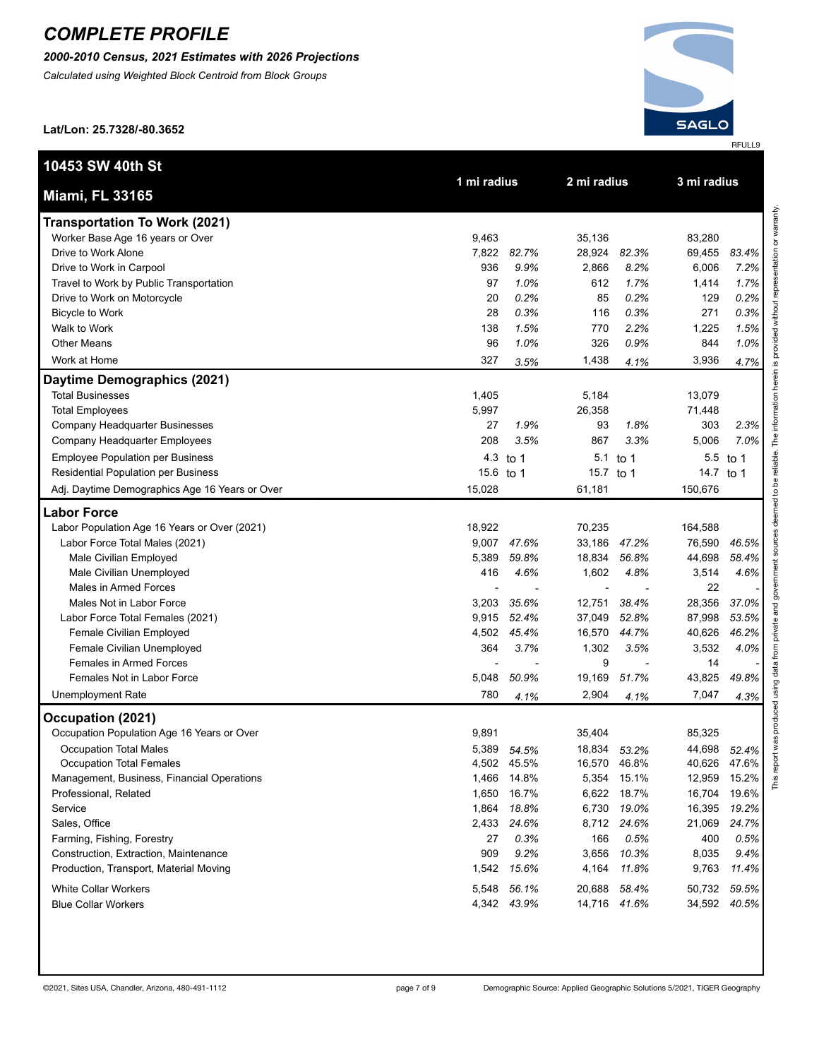*2000-2010 Census, 2021 Estimates with 2026 Projections*

*Calculated using Weighted Block Centroid from Block Groups*



**Lat/Lon: 25.7328/-80.3652**

| 10453 SW 40th St                               | 1 mi radius |             | 2 mi radius  |              | 3 mi radius |          |  |
|------------------------------------------------|-------------|-------------|--------------|--------------|-------------|----------|--|
| <b>Miami, FL 33165</b>                         |             |             |              |              |             |          |  |
| <b>Transportation To Work (2021)</b>           |             |             |              |              |             |          |  |
| Worker Base Age 16 years or Over               | 9,463       |             | 35,136       |              | 83,280      |          |  |
| Drive to Work Alone                            | 7,822       | 82.7%       | 28,924       | 82.3%        | 69,455      | 83.4%    |  |
| Drive to Work in Carpool                       | 936         | 9.9%        | 2,866        | 8.2%         | 6,006       | 7.2%     |  |
| Travel to Work by Public Transportation        | 97          | 1.0%        | 612          | 1.7%         | 1,414       | 1.7%     |  |
| Drive to Work on Motorcycle                    | 20          | 0.2%        | 85           | 0.2%         | 129         | 0.2%     |  |
| Bicycle to Work                                | 28          | 0.3%        | 116          | 0.3%         | 271         | 0.3%     |  |
| Walk to Work                                   | 138         | 1.5%        | 770          | 2.2%         | 1,225       | 1.5%     |  |
| <b>Other Means</b>                             | 96          | 1.0%        | 326          | 0.9%         | 844         | 1.0%     |  |
| Work at Home                                   | 327         | 3.5%        | 1,438        | 4.1%         | 3,936       | 4.7%     |  |
| Daytime Demographics (2021)                    |             |             |              |              |             |          |  |
| <b>Total Businesses</b>                        | 1,405       |             | 5,184        |              | 13,079      |          |  |
| <b>Total Employees</b>                         | 5,997       |             | 26,358       |              | 71,448      |          |  |
| Company Headquarter Businesses                 | 27          | 1.9%        | 93           | 1.8%         | 303         | 2.3%     |  |
| Company Headquarter Employees                  | 208         | 3.5%        | 867          | 3.3%         | 5,006       | 7.0%     |  |
| <b>Employee Population per Business</b>        | 4.3         | to 1        | 5.1          | to 1         |             | 5.5 to 1 |  |
| Residential Population per Business            | 15.6 to 1   |             | 15.7 to 1    |              | 14.7 to 1   |          |  |
| Adj. Daytime Demographics Age 16 Years or Over | 15,028      |             | 61,181       |              | 150,676     |          |  |
| <b>Labor Force</b>                             |             |             |              |              |             |          |  |
| Labor Population Age 16 Years or Over (2021)   | 18,922      |             | 70,235       |              | 164,588     |          |  |
| Labor Force Total Males (2021)                 |             | 9,007 47.6% | 33,186       | 47.2%        | 76,590      | 46.5%    |  |
| Male Civilian Employed                         | 5,389       | 59.8%       | 18,834       | 56.8%        | 44,698      | 58.4%    |  |
| Male Civilian Unemployed                       | 416         | 4.6%        | 1,602        | 4.8%         | 3,514       | 4.6%     |  |
| Males in Armed Forces                          |             |             |              |              | 22          |          |  |
| Males Not in Labor Force                       | 3,203       | 35.6%       | 12,751       | 38.4%        | 28,356      | 37.0%    |  |
| Labor Force Total Females (2021)               | 9,915       | 52.4%       | 37,049       | 52.8%        | 87,998      | 53.5%    |  |
| Female Civilian Employed                       |             | 4,502 45.4% | 16,570       | 44.7%        | 40,626      | 46.2%    |  |
| Female Civilian Unemployed                     | 364         | 3.7%        | 1,302        | 3.5%         | 3,532       | 4.0%     |  |
| <b>Females in Armed Forces</b>                 |             |             | 9            |              | 14          |          |  |
| Females Not in Labor Force                     | 5,048       | 50.9%       | 19,169       | 51.7%        | 43,825      | 49.8%    |  |
| <b>Unemployment Rate</b>                       | 780         | 4.1%        | 2,904        | 4.1%         | 7,047       | 4.3%     |  |
| Occupation (2021)                              |             |             |              |              |             |          |  |
| Occupation Population Age 16 Years or Over     | 9,891       |             | 35,404       |              | 85,325      |          |  |
| <b>Occupation Total Males</b>                  |             | 5,389 54.5% | 18,834 53.2% |              | 44,698      | 52.4%    |  |
| Occupation Total Females                       |             | 4,502 45.5% | 16,570       | 46.8%        | 40,626      | 47.6%    |  |
| Management, Business, Financial Operations     | 1,466       | 14.8%       |              | 5,354 15.1%  | 12,959      | 15.2%    |  |
| Professional, Related                          | 1,650       | 16.7%       |              | 6,622 18.7%  | 16,704      | 19.6%    |  |
| Service                                        |             | 1,864 18.8% | 6,730        | 19.0%        | 16,395      | 19.2%    |  |
| Sales, Office                                  |             | 2,433 24.6% | 8,712        | 24.6%        | 21,069      | 24.7%    |  |
| Farming, Fishing, Forestry                     | 27          | 0.3%        | 166          | 0.5%         | 400         | 0.5%     |  |
| Construction, Extraction, Maintenance          | 909         | 9.2%        | 3,656        | 10.3%        | 8,035       | 9.4%     |  |
| Production, Transport, Material Moving         |             | 1,542 15.6% | 4,164        | 11.8%        | 9,763       | 11.4%    |  |
| White Collar Workers                           |             |             |              |              | 50,732      |          |  |
|                                                |             | 5,548 56.1% | 20,688 58.4% |              |             | 59.5%    |  |
| <b>Blue Collar Workers</b>                     |             | 4,342 43.9% |              | 14,716 41.6% | 34,592      | 40.5%    |  |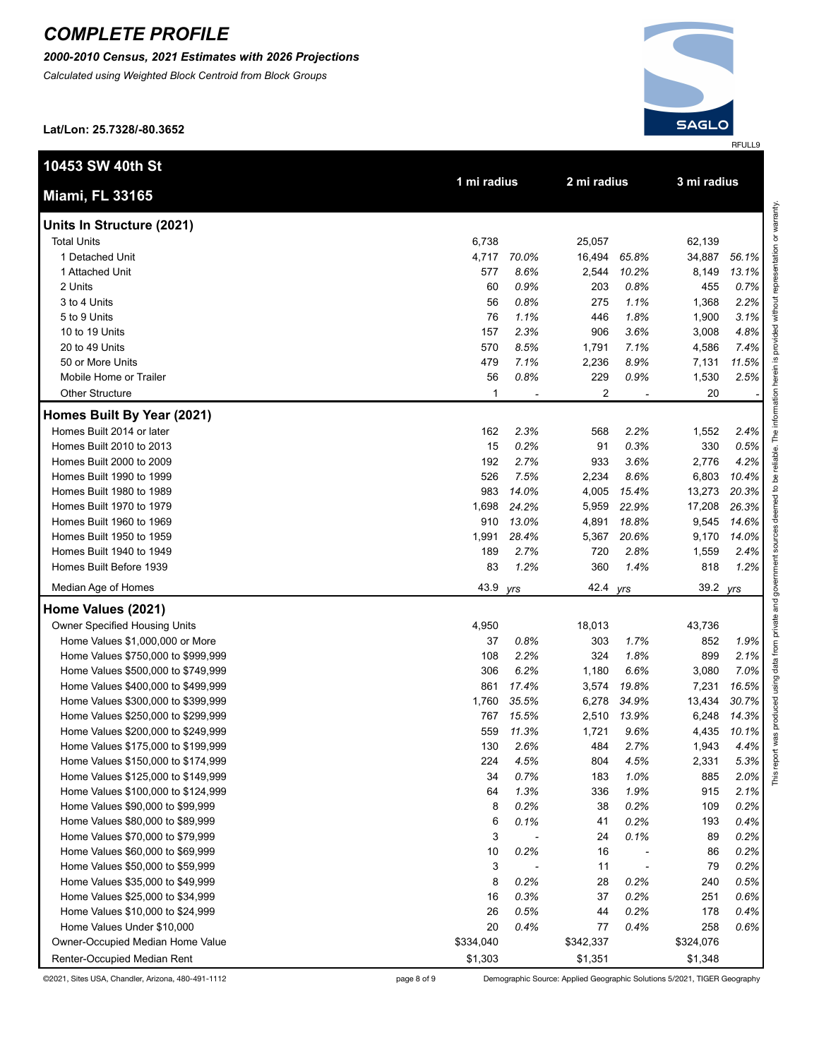*2000-2010 Census, 2021 Estimates with 2026 Projections*

*Calculated using Weighted Block Centroid from Block Groups*



**Lat/Lon: 25.7328/-80.3652**

| 10453 SW 40th St                     |             |       | 2 mi radius |       | 3 mi radius |       |
|--------------------------------------|-------------|-------|-------------|-------|-------------|-------|
| <b>Miami, FL 33165</b>               | 1 mi radius |       |             |       |             |       |
| Units In Structure (2021)            |             |       |             |       |             |       |
| <b>Total Units</b>                   | 6,738       |       | 25,057      |       | 62,139      |       |
| 1 Detached Unit                      | 4,717       | 70.0% | 16,494      | 65.8% | 34,887      | 56.1% |
| 1 Attached Unit                      | 577         | 8.6%  | 2,544       | 10.2% | 8,149       | 13.1% |
| 2 Units                              | 60          | 0.9%  | 203         | 0.8%  | 455         | 0.7%  |
| 3 to 4 Units                         | 56          | 0.8%  | 275         | 1.1%  | 1,368       | 2.2%  |
| 5 to 9 Units                         | 76          | 1.1%  | 446         | 1.8%  | 1,900       | 3.1%  |
| 10 to 19 Units                       | 157         | 2.3%  | 906         | 3.6%  | 3,008       | 4.8%  |
| 20 to 49 Units                       | 570         | 8.5%  | 1,791       | 7.1%  | 4,586       | 7.4%  |
| 50 or More Units                     | 479         | 7.1%  | 2,236       | 8.9%  | 7,131       | 11.5% |
| Mobile Home or Trailer               | 56          | 0.8%  | 229         | 0.9%  | 1,530       | 2.5%  |
| <b>Other Structure</b>               | 1           |       | 2           |       | 20          |       |
| Homes Built By Year (2021)           |             |       |             |       |             |       |
| Homes Built 2014 or later            | 162         | 2.3%  | 568         | 2.2%  | 1,552       | 2.4%  |
| Homes Built 2010 to 2013             | 15          | 0.2%  | 91          | 0.3%  | 330         | 0.5%  |
| Homes Built 2000 to 2009             | 192         | 2.7%  | 933         | 3.6%  | 2,776       | 4.2%  |
| Homes Built 1990 to 1999             | 526         | 7.5%  | 2,234       | 8.6%  | 6,803       | 10.4% |
| Homes Built 1980 to 1989             | 983         | 14.0% | 4,005       | 15.4% | 13,273      | 20.3% |
| Homes Built 1970 to 1979             | 1,698       | 24.2% | 5,959       | 22.9% | 17,208      | 26.3% |
| Homes Built 1960 to 1969             | 910         | 13.0% | 4,891       | 18.8% | 9,545       | 14.6% |
| Homes Built 1950 to 1959             | 1,991       | 28.4% | 5,367       | 20.6% | 9,170       | 14.0% |
| Homes Built 1940 to 1949             | 189         | 2.7%  | 720         | 2.8%  | 1,559       | 2.4%  |
| Homes Built Before 1939              | 83          | 1.2%  | 360         | 1.4%  | 818         | 1.2%  |
| Median Age of Homes                  | 43.9        | yrs   | 42.4        | yrs   | 39.2        | yrs   |
| Home Values (2021)                   |             |       |             |       |             |       |
| <b>Owner Specified Housing Units</b> | 4,950       |       | 18,013      |       | 43,736      |       |
| Home Values \$1,000,000 or More      | 37          | 0.8%  | 303         | 1.7%  | 852         | 1.9%  |
| Home Values \$750,000 to \$999,999   | 108         | 2.2%  | 324         | 1.8%  | 899         | 2.1%  |
| Home Values \$500,000 to \$749,999   | 306         | 6.2%  | 1,180       | 6.6%  | 3,080       | 7.0%  |
| Home Values \$400,000 to \$499,999   | 861         | 17.4% | 3,574       | 19.8% | 7,231       | 16.5% |
| Home Values \$300,000 to \$399,999   | 1,760       | 35.5% | 6,278       | 34.9% | 13,434      | 30.7% |
| Home Values \$250,000 to \$299,999   | 767         | 15.5% | 2,510       | 13.9% | 6,248       | 14.3% |
| Home Values \$200,000 to \$249,999   | 559         | 11.3% | 1,721       | 9.6%  | 4,435       | 10.1% |
| Home Values \$175,000 to \$199,999   | 130         | 2.6%  | 484         | 2.7%  | 1,943       | 4.4%  |
| Home Values \$150,000 to \$174,999   | 224         | 4.5%  | 804         | 4.5%  | 2,331       | 5.3%  |
| Home Values \$125,000 to \$149,999   | 34          | 0.7%  | 183         | 1.0%  | 885         | 2.0%  |
| Home Values \$100,000 to \$124,999   | 64          | 1.3%  | 336         | 1.9%  | 915         | 2.1%  |
| Home Values \$90,000 to \$99,999     | 8           | 0.2%  | 38          | 0.2%  | 109         | 0.2%  |
| Home Values \$80,000 to \$89,999     | 6           | 0.1%  | 41          | 0.2%  | 193         | 0.4%  |
| Home Values \$70,000 to \$79,999     | 3           |       | 24          | 0.1%  | 89          | 0.2%  |
| Home Values \$60,000 to \$69,999     | 10          | 0.2%  | 16          |       | 86          | 0.2%  |
| Home Values \$50,000 to \$59,999     | 3           |       | 11          |       | 79          | 0.2%  |
| Home Values \$35,000 to \$49,999     | 8           | 0.2%  | 28          | 0.2%  | 240         | 0.5%  |
| Home Values \$25,000 to \$34,999     | 16          | 0.3%  | 37          | 0.2%  | 251         | 0.6%  |
| Home Values \$10,000 to \$24,999     | 26          | 0.5%  | 44          | 0.2%  | 178         | 0.4%  |
| Home Values Under \$10,000           | 20          | 0.4%  | 77          | 0.4%  | 258         | 0.6%  |
| Owner-Occupied Median Home Value     | \$334,040   |       | \$342,337   |       | \$324,076   |       |
| Renter-Occupied Median Rent          | \$1,303     |       | \$1,351     |       | \$1,348     |       |

©2021, Sites USA, Chandler, Arizona, 480-491-1112 page 8 of 9 Demographic Source: Applied Geographic Solutions 5/2021, TIGER Geography